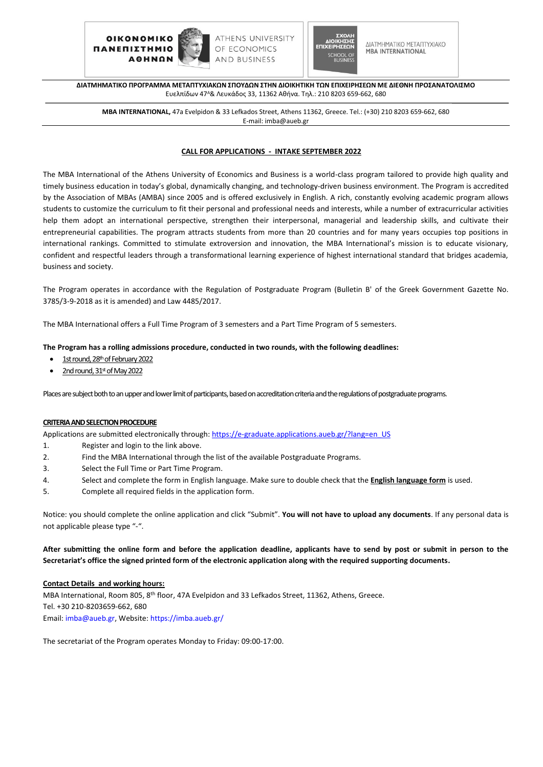



ΔΙΑΤΜΗΜΑΤΙΚΟ ΜΕΤΑΠΤΥΧΙΑΚΟ **MBA INTERNATIONAL** 

**ΔΙΑΤΜΗΜΑΤΙΚΟ ΠΡΟΓΡΑΜΜΑ ΜΕΤΑΠΤΥΧΙΑΚΩΝ ΣΠΟΥΔΩΝ ΣΤΗΝ ΔΙΟΙΚΗΤΙΚΗ ΤΩΝ ΕΠΙΧΕΙΡΗΣΕΩΝ ΜΕ ΔΙΕΘΝΗ ΠΡΟΣΑΝΑΤΟΛΙΣΜΟ** Ευελπίδων 47<sup>Α</sup>& Λευκάδος 33, 11362 Αθήνα. Τηλ.: 210 8203 659-662, 680

**MBA INTERNATIONAL,** 47a Evelpidon & 33 Lefkados Street, Athens 11362, Greece. Tel.: (+30) 210 8203 659-662, 680 E-mail: imba@aueb.gr

## **CALL FOR APPLICATIONS - INTAKE SEPTEMBER 2022**

The MBA International of the Athens University of Economics and Business is a world-class program tailored to provide high quality and timely business education in today's global, dynamically changing, and technology-driven business environment. The Program is accredited by the Association of MBAs (AMBA) since 2005 and is offered exclusively in English. A rich, constantly evolving academic program allows students to customize the curriculum to fit their personal and professional needs and interests, while a number of extracurricular activities help them adopt an international perspective, strengthen their interpersonal, managerial and leadership skills, and cultivate their entrepreneurial capabilities. The program attracts students from more than 20 countries and for many years occupies top positions in international rankings. Committed to stimulate extroversion and innovation, the MBA International's mission is to educate visionary, confident and respectful leaders through a transformational learning experience of highest international standard that bridges academia, business and society.

The Program operates in accordance with the Regulation of Postgraduate Program (Bulletin B' of the Greek Government Gazette No. 3785/3-9-2018 as it is amended) and Law 4485/2017.

The MBA International offers a Full Time Program of 3 semesters and a Part Time Program of 5 semesters.

# **The Program has a rolling admissions procedure, conducted in two rounds, with the following deadlines:**

- 1st round, 28<sup>th</sup> of February 2022
- 2nd round, 31st of May 2022

Places are subject both to an upper and lower limit of participants, based on accreditation criteria and the regulations of postgraduate programs.

### **CRITERIA AND SELECTION PROCEDURE**

Applications are submitted electronically through: [https://e-graduate.applications.aueb.gr/?lang=en\\_US](https://e-graduate.applications.aueb.gr/?lang=en_US)

- 1. Register and login to the link above.
- 2. Find the MBA International through the list of the available Postgraduate Programs.
- 3. Select the Full Time or Part Time Program.
- 4. Select and complete the form in English language. Make sure to double check that the **English language form** is used.
- 5. Complete all required fields in the application form.

Notice: you should complete the online application and click "Submit". **You will not have to upload any documents**. If any personal data is not applicable please type "-".

# **After submitting the online form and before the application deadline, applicants have to send by post or submit in person to the Secretariat's office the signed printed form of the electronic application along with the required supporting documents.**

### **Contact Details and working hours:**

MBA International, Room 805, 8<sup>th</sup> floor, 47A Evelpidon and 33 Lefkados Street, 11362, Athens, Greece. Tel. +30 210-8203659-662, 680 Email: [imba@aueb.gr,](mailto:imba@aueb.gr) Website:<https://imba.aueb.gr/>

The secretariat of the Program operates Monday to Friday: 09:00-17:00.